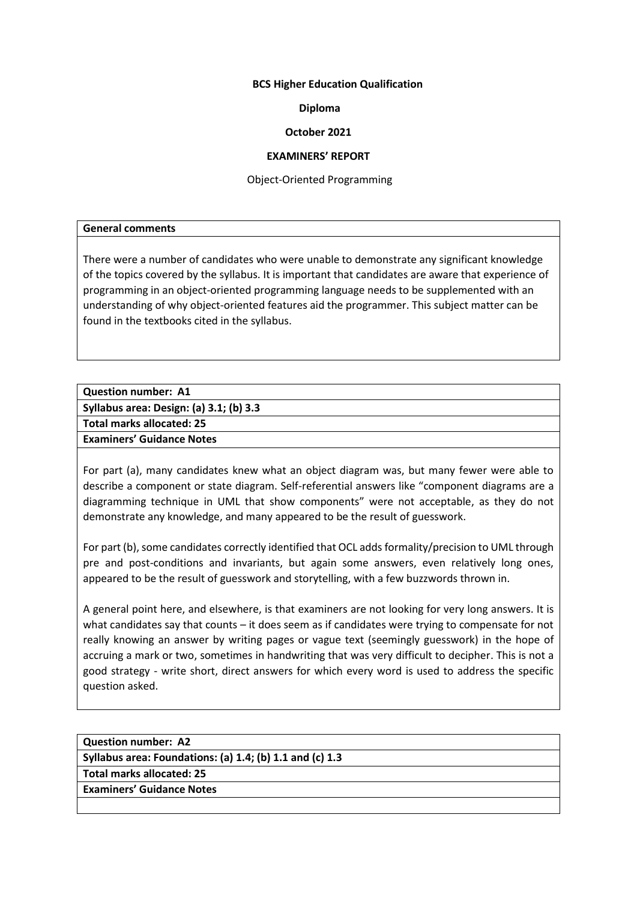# **BCS Higher Education Qualification**

# **Diploma**

# **October 2021**

# **EXAMINERS' REPORT**

Object-Oriented Programming

## **General comments**

There were a number of candidates who were unable to demonstrate any significant knowledge of the topics covered by the syllabus. It is important that candidates are aware that experience of programming in an object-oriented programming language needs to be supplemented with an understanding of why object-oriented features aid the programmer. This subject matter can be found in the textbooks cited in the syllabus.

| <b>Question number: A1</b>              |  |
|-----------------------------------------|--|
| Syllabus area: Design: (a) 3.1; (b) 3.3 |  |
| Total marks allocated: 25               |  |
| <b>Examiners' Guidance Notes</b>        |  |
|                                         |  |

For part (a), many candidates knew what an object diagram was, but many fewer were able to describe a component or state diagram. Self-referential answers like "component diagrams are a diagramming technique in UML that show components" were not acceptable, as they do not demonstrate any knowledge, and many appeared to be the result of guesswork.

For part (b), some candidates correctly identified that OCL adds formality/precision to UML through pre and post-conditions and invariants, but again some answers, even relatively long ones, appeared to be the result of guesswork and storytelling, with a few buzzwords thrown in.

A general point here, and elsewhere, is that examiners are not looking for very long answers. It is what candidates say that counts – it does seem as if candidates were trying to compensate for not really knowing an answer by writing pages or vague text (seemingly guesswork) in the hope of accruing a mark or two, sometimes in handwriting that was very difficult to decipher. This is not a good strategy - write short, direct answers for which every word is used to address the specific question asked.

| <b>Question number: A2</b>                               |
|----------------------------------------------------------|
| Syllabus area: Foundations: (a) 1.4; (b) 1.1 and (c) 1.3 |
| <b>Total marks allocated: 25</b>                         |
| <b>Examiners' Guidance Notes</b>                         |
|                                                          |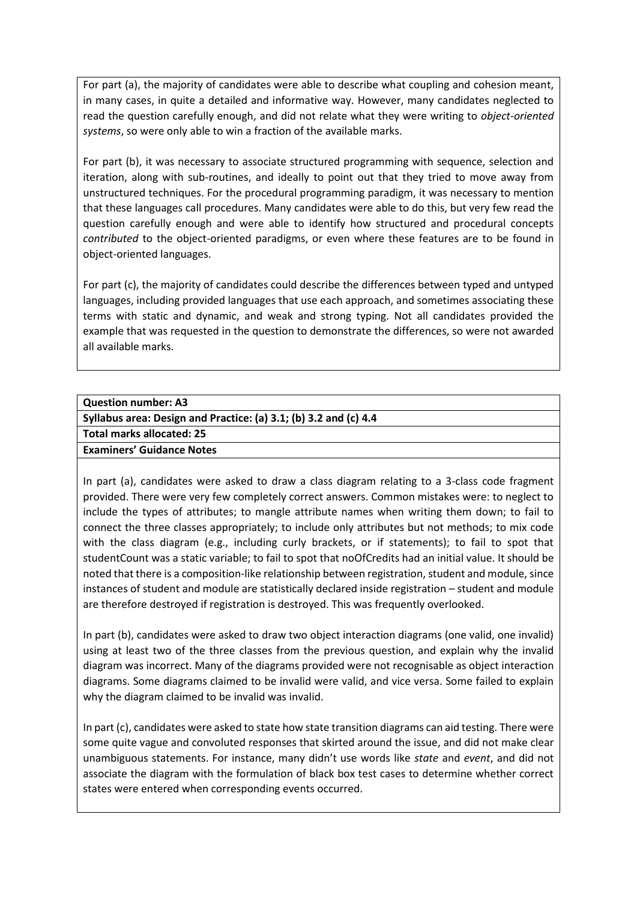For part (a), the majority of candidates were able to describe what coupling and cohesion meant, in many cases, in quite a detailed and informative way. However, many candidates neglected to read the question carefully enough, and did not relate what they were writing to *object-oriented systems*, so were only able to win a fraction of the available marks.

For part (b), it was necessary to associate structured programming with sequence, selection and iteration, along with sub-routines, and ideally to point out that they tried to move away from unstructured techniques. For the procedural programming paradigm, it was necessary to mention that these languages call procedures. Many candidates were able to do this, but very few read the question carefully enough and were able to identify how structured and procedural concepts *contributed* to the object-oriented paradigms, or even where these features are to be found in object-oriented languages.

For part (c), the majority of candidates could describe the differences between typed and untyped languages, including provided languages that use each approach, and sometimes associating these terms with static and dynamic, and weak and strong typing. Not all candidates provided the example that was requested in the question to demonstrate the differences, so were not awarded all available marks.

| <b>Question number: A3</b>                                       |
|------------------------------------------------------------------|
| Syllabus area: Design and Practice: (a) 3.1; (b) 3.2 and (c) 4.4 |
| Total marks allocated: 25                                        |
| <b>Examiners' Guidance Notes</b>                                 |
|                                                                  |

In part (a), candidates were asked to draw a class diagram relating to a 3-class code fragment provided. There were very few completely correct answers. Common mistakes were: to neglect to include the types of attributes; to mangle attribute names when writing them down; to fail to connect the three classes appropriately; to include only attributes but not methods; to mix code with the class diagram (e.g., including curly brackets, or if statements); to fail to spot that studentCount was a static variable; to fail to spot that noOfCredits had an initial value. It should be noted that there is a composition-like relationship between registration, student and module, since instances of student and module are statistically declared inside registration – student and module are therefore destroyed if registration is destroyed. This was frequently overlooked.

In part (b), candidates were asked to draw two object interaction diagrams (one valid, one invalid) using at least two of the three classes from the previous question, and explain why the invalid diagram was incorrect. Many of the diagrams provided were not recognisable as object interaction diagrams. Some diagrams claimed to be invalid were valid, and vice versa. Some failed to explain why the diagram claimed to be invalid was invalid.

In part (c), candidates were asked to state how state transition diagrams can aid testing. There were some quite vague and convoluted responses that skirted around the issue, and did not make clear unambiguous statements. For instance, many didn't use words like *state* and *event*, and did not associate the diagram with the formulation of black box test cases to determine whether correct states were entered when corresponding events occurred.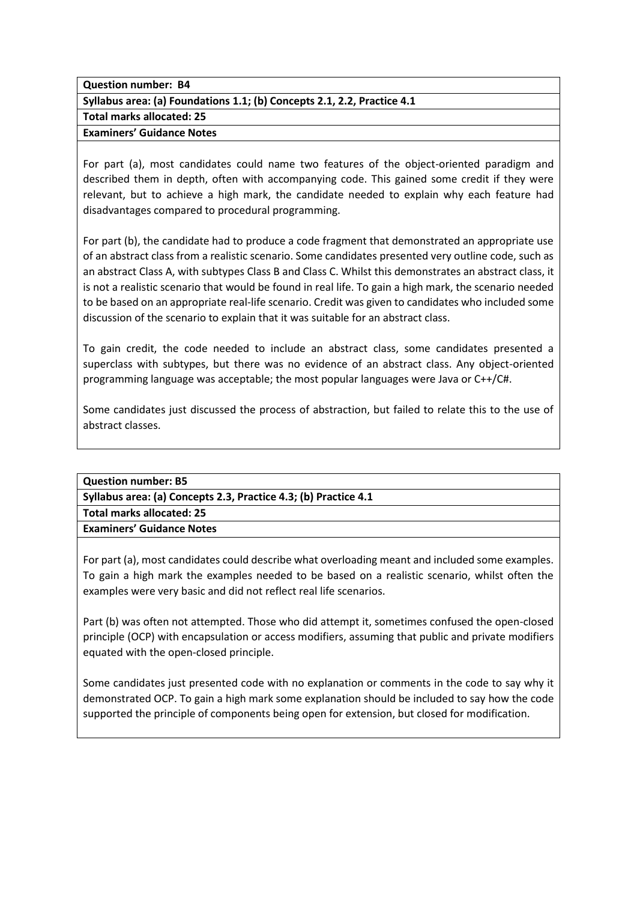**Question number: B4**

**Syllabus area: (a) Foundations 1.1; (b) Concepts 2.1, 2.2, Practice 4.1**

**Total marks allocated: 25**

**Examiners' Guidance Notes**

For part (a), most candidates could name two features of the object-oriented paradigm and described them in depth, often with accompanying code. This gained some credit if they were relevant, but to achieve a high mark, the candidate needed to explain why each feature had disadvantages compared to procedural programming.

For part (b), the candidate had to produce a code fragment that demonstrated an appropriate use of an abstract class from a realistic scenario. Some candidates presented very outline code, such as an abstract Class A, with subtypes Class B and Class C. Whilst this demonstrates an abstract class, it is not a realistic scenario that would be found in real life. To gain a high mark, the scenario needed to be based on an appropriate real-life scenario. Credit was given to candidates who included some discussion of the scenario to explain that it was suitable for an abstract class.

To gain credit, the code needed to include an abstract class, some candidates presented a superclass with subtypes, but there was no evidence of an abstract class. Any object-oriented programming language was acceptable; the most popular languages were Java or C++/C#.

Some candidates just discussed the process of abstraction, but failed to relate this to the use of abstract classes.

| <b>Question number: B5</b>                                      |
|-----------------------------------------------------------------|
| Syllabus area: (a) Concepts 2.3, Practice 4.3; (b) Practice 4.1 |
| Total marks allocated: 25                                       |
| <b>Examiners' Guidance Notes</b>                                |
|                                                                 |

For part (a), most candidates could describe what overloading meant and included some examples. To gain a high mark the examples needed to be based on a realistic scenario, whilst often the examples were very basic and did not reflect real life scenarios.

Part (b) was often not attempted. Those who did attempt it, sometimes confused the open-closed principle (OCP) with encapsulation or access modifiers, assuming that public and private modifiers equated with the open-closed principle.

Some candidates just presented code with no explanation or comments in the code to say why it demonstrated OCP. To gain a high mark some explanation should be included to say how the code supported the principle of components being open for extension, but closed for modification.